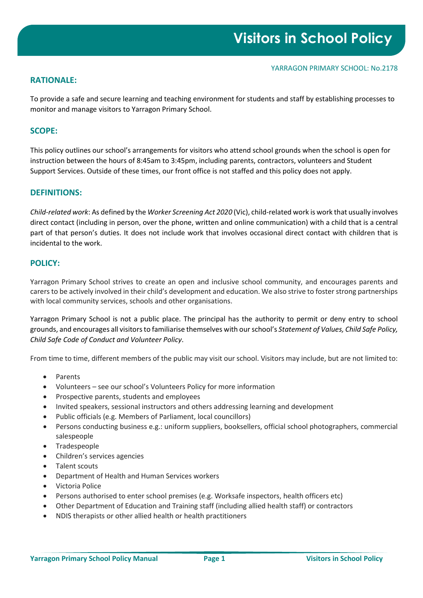## **RATIONALE:**

To provide a safe and secure learning and teaching environment for students and staff by establishing processes to monitor and manage visitors to Yarragon Primary School.

## **SCOPE:**

This policy outlines our school's arrangements for visitors who attend school grounds when the school is open for instruction between the hours of 8:45am to 3:45pm, including parents, contractors, volunteers and Student Support Services. Outside of these times, our front office is not staffed and this policy does not apply.

## **DEFINITIONS:**

*Child-related work*: As defined by the *Worker Screening Act 2020* (Vic), child-related work is work that usually involves direct contact (including in person, over the phone, written and online communication) with a child that is a central part of that person's duties. It does not include work that involves occasional direct contact with children that is incidental to the work.

## **POLICY:**

Yarragon Primary School strives to create an open and inclusive school community, and encourages parents and carers to be actively involved in their child's development and education. We also strive to foster strong partnerships with local community services, schools and other organisations.

Yarragon Primary School is not a public place. The principal has the authority to permit or deny entry to school grounds, and encourages all visitors to familiarise themselves with ourschool's *Statement of Values, Child Safe Policy, Child Safe Code of Conduct and Volunteer Policy*.

From time to time, different members of the public may visit our school. Visitors may include, but are not limited to:

- Parents
- Volunteers see our school's Volunteers Policy for more information
- Prospective parents, students and employees
- Invited speakers, sessional instructors and others addressing learning and development
- Public officials (e.g. Members of Parliament, local councillors)
- Persons conducting business e.g.: uniform suppliers, booksellers, official school photographers, commercial salespeople
- Tradespeople
- Children's services agencies
- Talent scouts
- Department of Health and Human Services workers
- Victoria Police
- Persons authorised to enter school premises (e.g. Worksafe inspectors, health officers etc)
- Other Department of Education and Training staff (including allied health staff) or contractors
- NDIS therapists or other allied health or health practitioners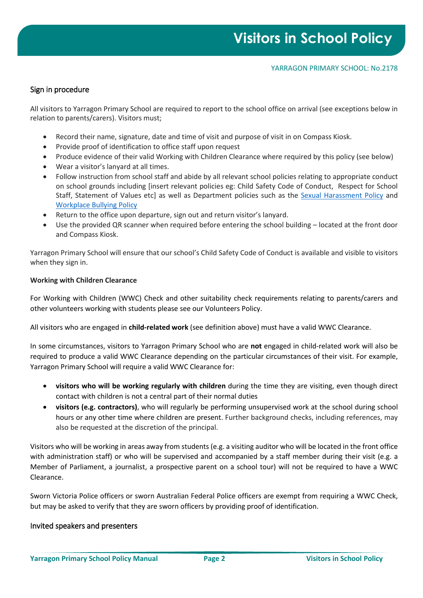## Sign in procedure

All visitors to Yarragon Primary School are required to report to the school office on arrival (see exceptions below in relation to parents/carers). Visitors must;

- Record their name, signature, date and time of visit and purpose of visit in on Compass Kiosk.
- Provide proof of identification to office staff upon request
- Produce evidence of their valid Working with Children Clearance where required by this policy (see below)
- Wear a visitor's lanyard at all times.
- Follow instruction from school staff and abide by all relevant school policies relating to appropriate conduct on school grounds including [insert relevant policies eg: Child Safety Code of Conduct, Respect for School Staff, Statement of Values etc] as well as Department policies such as the [Sexual Harassment Policy](https://www2.education.vic.gov.au/pal/sexual-harassment/overview) and [Workplace Bullying Policy](https://www2.education.vic.gov.au/pal/workplace-bullying/policy)
- Return to the office upon departure, sign out and return visitor's lanyard.
- Use the provided QR scanner when required before entering the school building located at the front door and Compass Kiosk.

Yarragon Primary School will ensure that our school's Child Safety Code of Conduct is available and visible to visitors when they sign in.

#### **Working with Children Clearance**

For Working with Children (WWC) Check and other suitability check requirements relating to parents/carers and other volunteers working with students please see our Volunteers Policy.

All visitors who are engaged in **child-related work** (see definition above) must have a valid WWC Clearance.

In some circumstances, visitors to Yarragon Primary School who are **not** engaged in child-related work will also be required to produce a valid WWC Clearance depending on the particular circumstances of their visit. For example, Yarragon Primary School will require a valid WWC Clearance for:

- **visitors who will be working regularly with children** during the time they are visiting, even though direct contact with children is not a central part of their normal duties
- **visitors (e.g. contractors)**, who will regularly be performing unsupervised work at the school during school hours or any other time where children are present. Further background checks, including references, may also be requested at the discretion of the principal.

Visitors who will be working in areas away from students (e.g. a visiting auditor who will be located in the front office with administration staff) or who will be supervised and accompanied by a staff member during their visit (e.g. a Member of Parliament, a journalist, a prospective parent on a school tour) will not be required to have a WWC Clearance.

Sworn Victoria Police officers or sworn Australian Federal Police officers are exempt from requiring a WWC Check, but may be asked to verify that they are sworn officers by providing proof of identification.

#### Invited speakers and presenters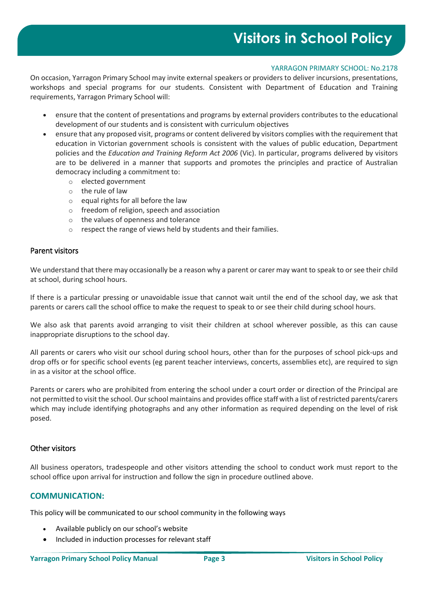#### YARRAGON PRIMARY SCHOOL: No.2178

On occasion, Yarragon Primary School may invite external speakers or providers to deliver incursions, presentations, workshops and special programs for our students. Consistent with Department of Education and Training requirements, Yarragon Primary School will:

- ensure that the content of presentations and programs by external providers contributes to the educational development of our students and is consistent with curriculum objectives
- ensure that any proposed visit, programs or content delivered by visitors complies with the requirement that education in Victorian government schools is consistent with the values of public education, Department policies and the *Education and Training Reform Act 2006* (Vic). In particular, programs delivered by visitors are to be delivered in a manner that supports and promotes the principles and practice of Australian democracy including a commitment to:
	- o elected government
	- o the rule of law
	- o equal rights for all before the law
	- o freedom of religion, speech and association
	- o the values of openness and tolerance
	- o respect the range of views held by students and their families.

#### Parent visitors

We understand that there may occasionally be a reason why a parent or carer may want to speak to or see their child at school, during school hours.

If there is a particular pressing or unavoidable issue that cannot wait until the end of the school day, we ask that parents or carers call the school office to make the request to speak to or see their child during school hours.

We also ask that parents avoid arranging to visit their children at school wherever possible, as this can cause inappropriate disruptions to the school day.

All parents or carers who visit our school during school hours, other than for the purposes of school pick-ups and drop offs or for specific school events (eg parent teacher interviews, concerts, assemblies etc), are required to sign in as a visitor at the school office.

Parents or carers who are prohibited from entering the school under a court order or direction of the Principal are not permitted to visit the school. Our school maintains and provides office staff with a list of restricted parents/carers which may include identifying photographs and any other information as required depending on the level of risk posed.

#### Other visitors

All business operators, tradespeople and other visitors attending the school to conduct work must report to the school office upon arrival for instruction and follow the sign in procedure outlined above.

## **COMMUNICATION:**

This policy will be communicated to our school community in the following ways

- Available publicly on our school's website
- Included in induction processes for relevant staff